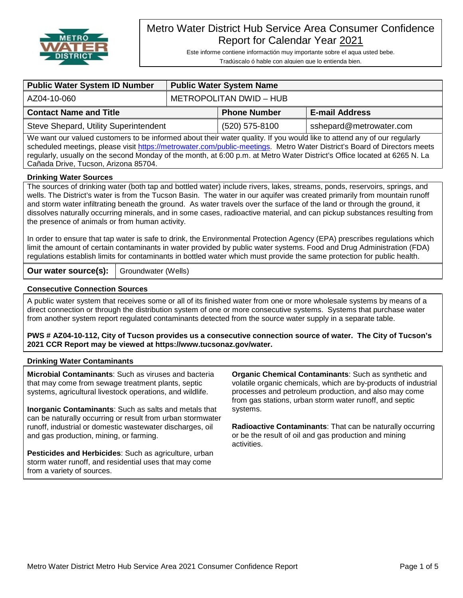

# Metro Water District Hub Service Area Consumer Confidence Report for Calendar Year 2021

Este informe contiene informactión muy importante sobre el aqua usted bebe. Tradúscalo ó hable con alguien que lo entienda bien.

| <b>Public Water System ID Number</b>                                                                                                                                                                                                                                                                                                                                                                                                                                                                                                                                | <b>Public Water System Name</b> |                     |                         |  |  |  |  |
|---------------------------------------------------------------------------------------------------------------------------------------------------------------------------------------------------------------------------------------------------------------------------------------------------------------------------------------------------------------------------------------------------------------------------------------------------------------------------------------------------------------------------------------------------------------------|---------------------------------|---------------------|-------------------------|--|--|--|--|
| AZ04-10-060                                                                                                                                                                                                                                                                                                                                                                                                                                                                                                                                                         | <b>METROPOLITAN DWID - HUB</b>  |                     |                         |  |  |  |  |
| <b>Contact Name and Title</b>                                                                                                                                                                                                                                                                                                                                                                                                                                                                                                                                       |                                 | <b>Phone Number</b> | <b>E-mail Address</b>   |  |  |  |  |
| Steve Shepard, Utility Superintendent                                                                                                                                                                                                                                                                                                                                                                                                                                                                                                                               |                                 | (520) 575-8100      | sshepard@metrowater.com |  |  |  |  |
| We want our valued customers to be informed about their water quality. If you would like to attend any of our regularly<br>scheduled meetings, please visit https://metrowater.com/public-meetings. Metro Water District's Board of Directors meets<br>regularly, usually on the second Monday of the month, at 6:00 p.m. at Metro Water District's Office located at 6265 N. La<br>Cañada Drive, Tucson, Arizona 85704.                                                                                                                                            |                                 |                     |                         |  |  |  |  |
| <b>Drinking Water Sources</b>                                                                                                                                                                                                                                                                                                                                                                                                                                                                                                                                       |                                 |                     |                         |  |  |  |  |
| The sources of drinking water (both tap and bottled water) include rivers, lakes, streams, ponds, reservoirs, springs, and<br>wells. The District's water is from the Tucson Basin. The water in our aquifer was created primarily from mountain runoff<br>and storm water infiltrating beneath the ground. As water travels over the surface of the land or through the ground, it<br>dissolves naturally occurring minerals, and in some cases, radioactive material, and can pickup substances resulting from<br>the presence of animals or from human activity. |                                 |                     |                         |  |  |  |  |
| In order to ensure that tap water is safe to drink, the Environmental Protection Agency (EPA) prescribes regulations which                                                                                                                                                                                                                                                                                                                                                                                                                                          |                                 |                     |                         |  |  |  |  |

limit the amount of certain contaminants in water provided by public water systems. Food and Drug Administration (FDA) regulations establish limits for contaminants in bottled water which must provide the same protection for public health.

֦

**Our water source(s):** Groundwater (Wells)

# **Consecutive Connection Sources**

A public water system that receives some or all of its finished water from one or more wholesale systems by means of a direct connection or through the distribution system of one or more consecutive systems. Systems that purchase water from another system report regulated contaminants detected from the source water supply in a separate table.

**PWS # AZ04-10-112, City of Tucson provides us a consecutive connection source of water. The City of Tucson's 2021 CCR Report may be viewed at https://www.tucsonaz.gov/water.**

### **Drinking Water Contaminants**

**Microbial Contaminants**: Such as viruses and bacteria that may come from sewage treatment plants, septic systems, agricultural livestock operations, and wildlife.

**Inorganic Contaminants**: Such as salts and metals that can be naturally occurring or result from urban stormwater runoff, industrial or domestic wastewater discharges, oil and gas production, mining, or farming.

**Pesticides and Herbicides**: Such as agriculture, urban storm water runoff, and residential uses that may come from a variety of sources.

**Organic Chemical Contaminants**: Such as synthetic and volatile organic chemicals, which are by-products of industrial processes and petroleum production, and also may come from gas stations, urban storm water runoff, and septic systems.

**Radioactive Contaminants**: That can be naturally occurring or be the result of oil and gas production and mining activities.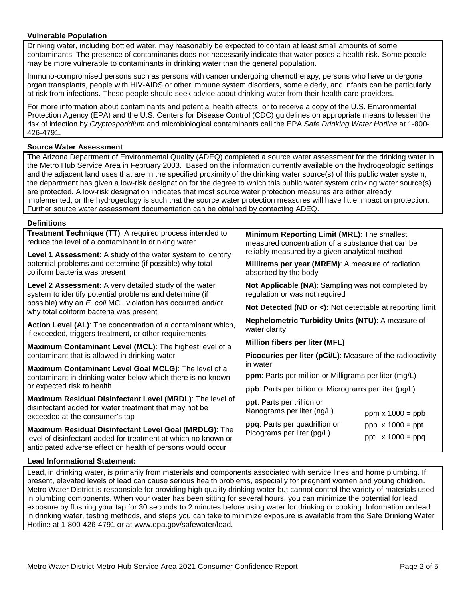## **Vulnerable Population**

Drinking water, including bottled water, may reasonably be expected to contain at least small amounts of some contaminants. The presence of contaminants does not necessarily indicate that water poses a health risk. Some people may be more vulnerable to contaminants in drinking water than the general population.

Immuno-compromised persons such as persons with cancer undergoing chemotherapy, persons who have undergone organ transplants, people with HIV-AIDS or other immune system disorders, some elderly, and infants can be particularly at risk from infections. These people should seek advice about drinking water from their health care providers.

For more information about contaminants and potential health effects, or to receive a copy of the U.S. Environmental Protection Agency (EPA) and the U.S. Centers for Disease Control (CDC) guidelines on appropriate means to lessen the risk of infection by *Cryptosporidium* and microbiological contaminants call the EPA *Safe Drinking Water Hotline* at 1-800- 426-4791.

## **Source Water Assessment**

The Arizona Department of Environmental Quality (ADEQ) completed a source water assessment for the drinking water in the Metro Hub Service Area in February 2003. Based on the information currently available on the hydrogeologic settings and the adjacent land uses that are in the specified proximity of the drinking water source(s) of this public water system, the department has given a low-risk designation for the degree to which this public water system drinking water source(s) are protected. A low-risk designation indicates that most source water protection measures are either already implemented, or the hydrogeology is such that the source water protection measures will have little impact on protection. Further source water assessment documentation can be obtained by contacting ADEQ.

#### **Definitions**

**Treatment Technique (TT)**: A required process intended to reduce the level of a contaminant in drinking water

**Level 1 Assessment**: A study of the water system to identify potential problems and determine (if possible) why total coliform bacteria was present

**Level 2 Assessment**: A very detailed study of the water system to identify potential problems and determine (if possible) why an *E. coli* MCL violation has occurred and/or why total coliform bacteria was present

**Action Level (AL)**: The concentration of a contaminant which, if exceeded, triggers treatment, or other requirements

**Maximum Contaminant Level (MCL)**: The highest level of a contaminant that is allowed in drinking water

**Maximum Contaminant Level Goal MCLG)**: The level of a contaminant in drinking water below which there is no known or expected risk to health

**Maximum Residual Disinfectant Level (MRDL)**: The level of disinfectant added for water treatment that may not be exceeded at the consumer's tap

**Maximum Residual Disinfectant Level Goal (MRDLG)**: The level of disinfectant added for treatment at which no known or anticipated adverse effect on health of persons would occur

**Minimum Reporting Limit (MRL)**: The smallest measured concentration of a substance that can be reliably measured by a given analytical method

**Millirems per year (MREM)**: A measure of radiation absorbed by the body

**Not Applicable (NA)**: Sampling was not completed by regulation or was not required

**Not Detected (ND or <):** Not detectable at reporting limit

**Nephelometric Turbidity Units (NTU)**: A measure of water clarity

**Million fibers per liter (MFL)**

**Picocuries per liter (pCi/L)**: Measure of the radioactivity in water

**ppm**: Parts per million or Milligrams per liter (mg/L)

**ppb**: Parts per billion or Micrograms per liter ( $\mu$ g/L)

**ppt**: Parts per trillion or Nanograms per liter (ng/L) **ppq**: Parts per quadrillion or Picograms per liter (pg/L) ppm  $x 1000 = ppb$ ppb  $x 1000 =$ ppt ppt  $x 1000 = ppq$ 

### **Lead Informational Statement:**

Lead, in drinking water, is primarily from materials and components associated with service lines and home plumbing. If present, elevated levels of lead can cause serious health problems, especially for pregnant women and young children. Metro Water District is responsible for providing high quality drinking water but cannot control the variety of materials used in plumbing components. When your water has been sitting for several hours, you can minimize the potential for lead exposure by flushing your tap for 30 seconds to 2 minutes before using water for drinking or cooking. Information on lead in drinking water, testing methods, and steps you can take to minimize exposure is available from the Safe Drinking Water Hotline at 1-800-426-4791 or at [www.epa.gov/safewater/lead.](http://www.epa.gov/safewater/lead)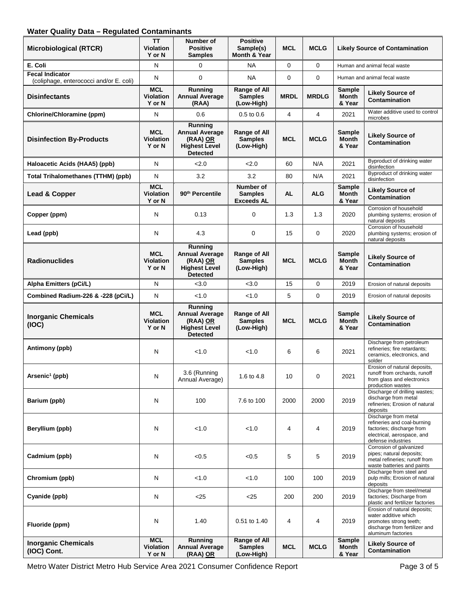# **Water Quality Data – Regulated Contaminants**

| <b>Microbiological (RTCR)</b>                                     | <b>TT</b><br><b>Violation</b><br>Y or N  | Number of<br><b>Positive</b><br><b>Samples</b>                                          | <b>Positive</b><br>Sample(s)<br>Month & Year     | <b>MCL</b>  | <b>MCLG</b>    | <b>Likely Source of Contamination</b>   |                                                                                                                                      |
|-------------------------------------------------------------------|------------------------------------------|-----------------------------------------------------------------------------------------|--------------------------------------------------|-------------|----------------|-----------------------------------------|--------------------------------------------------------------------------------------------------------------------------------------|
| E. Coli                                                           | N                                        | $\Omega$                                                                                | <b>NA</b>                                        | $\mathbf 0$ | $\mathbf 0$    |                                         | Human and animal fecal waste                                                                                                         |
| <b>Fecal Indicator</b><br>(coliphage, enterococci and/or E. coli) | N                                        | $\Omega$                                                                                | <b>NA</b>                                        | $\mathbf 0$ | $\mathbf 0$    |                                         | Human and animal fecal waste                                                                                                         |
| <b>Disinfectants</b>                                              | <b>MCL</b><br>Violation<br>Y or N        | Running<br><b>Annual Average</b><br>(RAA)                                               | Range of All<br><b>Samples</b><br>(Low-High)     | <b>MRDL</b> | <b>MRDLG</b>   | Sample<br><b>Month</b><br>& Year        | <b>Likely Source of</b><br><b>Contamination</b>                                                                                      |
| <b>Chlorine/Chloramine (ppm)</b>                                  | $\mathsf{N}$                             | 0.6                                                                                     | 0.5 to 0.6                                       | 4           | $\overline{4}$ | 2021                                    | Water additive used to control<br>microbes                                                                                           |
| <b>Disinfection By-Products</b>                                   | <b>MCL</b><br><b>Violation</b><br>Y or N | Running<br><b>Annual Average</b><br>(RAA) OR<br><b>Highest Level</b><br><b>Detected</b> | Range of All<br><b>Samples</b><br>(Low-High)     | <b>MCL</b>  | <b>MCLG</b>    | Sample<br><b>Month</b><br>& Year        | <b>Likely Source of</b><br>Contamination                                                                                             |
| Haloacetic Acids (HAA5) (ppb)                                     | N                                        | 2.0                                                                                     | 2.0                                              | 60          | N/A            | 2021                                    | Byproduct of drinking water<br>disinfection                                                                                          |
| <b>Total Trihalomethanes (TTHM) (ppb)</b>                         | N                                        | 3.2                                                                                     | 3.2                                              | 80          | N/A            | 2021                                    | Byproduct of drinking water<br>disinfection                                                                                          |
| Lead & Copper                                                     | <b>MCL</b><br><b>Violation</b><br>Y or N | 90 <sup>th</sup> Percentile                                                             | Number of<br><b>Samples</b><br><b>Exceeds AL</b> | <b>AL</b>   | <b>ALG</b>     | <b>Sample</b><br><b>Month</b><br>& Year | <b>Likely Source of</b><br>Contamination                                                                                             |
| Copper (ppm)                                                      | N                                        | 0.13                                                                                    | 0                                                | 1.3         | 1.3            | 2020                                    | Corrosion of household<br>plumbing systems; erosion of<br>natural deposits                                                           |
| Lead (ppb)                                                        | $\mathsf{N}$                             | 4.3                                                                                     | 0                                                | 15          | $\mathbf 0$    | 2020                                    | Corrosion of household<br>plumbing systems; erosion of<br>natural deposits                                                           |
| <b>Radionuclides</b>                                              | <b>MCL</b><br><b>Violation</b><br>Y or N | Running<br><b>Annual Average</b><br>(RAA) OR<br><b>Highest Level</b><br><b>Detected</b> | Range of All<br><b>Samples</b><br>(Low-High)     | <b>MCL</b>  | <b>MCLG</b>    | Sample<br><b>Month</b><br>& Year        | <b>Likely Source of</b><br>Contamination                                                                                             |
| Alpha Emitters (pCi/L)                                            | N                                        | < 3.0                                                                                   | < 3.0                                            | 15          | $\mathbf 0$    | 2019                                    | Erosion of natural deposits                                                                                                          |
| Combined Radium-226 & -228 (pCi/L)                                | ${\sf N}$                                | < 1.0                                                                                   | < 1.0                                            | 5           | 0              | 2019                                    | Erosion of natural deposits                                                                                                          |
| <b>Inorganic Chemicals</b><br>(IOC)                               | <b>MCL</b><br><b>Violation</b><br>Y or N | Running<br><b>Annual Average</b><br>(RAA) OR<br><b>Highest Level</b><br><b>Detected</b> | Range of All<br><b>Samples</b><br>(Low-High)     | <b>MCL</b>  | <b>MCLG</b>    | Sample<br><b>Month</b><br>& Year        | <b>Likely Source of</b><br><b>Contamination</b>                                                                                      |
| Antimony (ppb)                                                    | N                                        | < 1.0                                                                                   | < 1.0                                            | 6           | 6              | 2021                                    | Discharge from petroleum<br>refineries; fire retardants;<br>ceramics, electronics, and<br>solder                                     |
| Arsenic <sup>1</sup> (ppb)                                        | N                                        | 3.6 (Running<br>Annual Average)                                                         | 1.6 to 4.8                                       | 10          | 0              | 2021                                    | Erosion of natural deposits,<br>runoff from orchards, runoff<br>from glass and electronics<br>production wastes                      |
| Barium (ppb)                                                      | N                                        | 100                                                                                     | 7.6 to 100                                       | 2000        | 2000           | 2019                                    | Discharge of drilling wastes;<br>discharge from metal<br>refineries; Erosion of natural<br>deposits                                  |
| Beryllium (ppb)                                                   | N                                        | < 1.0                                                                                   | < 1.0                                            | 4           | 4              | 2019                                    | Discharge from metal<br>refineries and coal-burning<br>factories; discharge from<br>electrical, aerospace, and<br>defense industries |
| Cadmium (ppb)                                                     | N                                        | < 0.5                                                                                   | < 0.5                                            | 5           | 5              | 2019                                    | Corrosion of galvanized<br>pipes; natural deposits;<br>metal refineries; runoff from<br>waste batteries and paints                   |
| Chromium (ppb)                                                    | N                                        | < 1.0                                                                                   | < 1.0                                            | 100         | 100            | 2019                                    | Discharge from steel and<br>pulp mills; Erosion of natural<br>deposits                                                               |
| Cyanide (ppb)                                                     | N                                        | < 25                                                                                    | $<$ 25                                           | 200         | 200            | 2019                                    | Discharge from steel/metal<br>factories; Discharge from<br>plastic and fertilizer factories                                          |
|                                                                   |                                          |                                                                                         |                                                  |             |                |                                         | Erosion of natural deposits;                                                                                                         |
| Fluoride (ppm)                                                    | N<br><b>MCL</b>                          | 1.40<br>Running                                                                         | 0.51 to 1.40<br>Range of All                     | 4           | 4              | 2019<br><b>Sample</b>                   | water additive which<br>promotes strong teeth;<br>discharge from fertilizer and<br>aluminum factories                                |

Metro Water District Metro Hub Service Area 2021 Consumer Confidence Report Page 3 of 5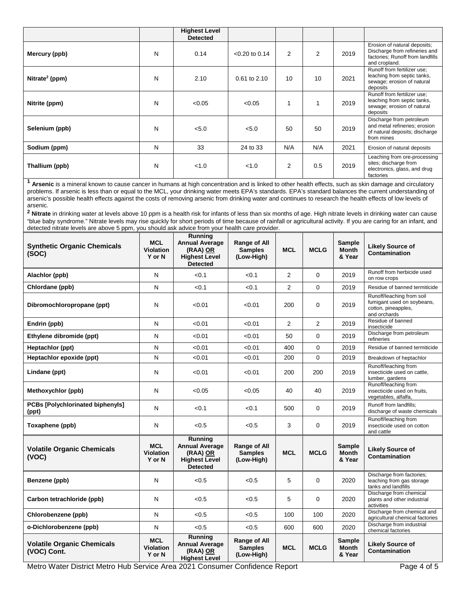|                            |   | <b>Highest Level</b><br><b>Detected</b> |                  |                |     |      |                                                                                                                    |
|----------------------------|---|-----------------------------------------|------------------|----------------|-----|------|--------------------------------------------------------------------------------------------------------------------|
| Mercury (ppb)              | N | 0.14                                    | $< 0.20$ to 0.14 | $\overline{2}$ | 2   | 2019 | Erosion of natural deposits;<br>Discharge from refineries and<br>factories; Runoff from landfills<br>and cropland. |
| Nitrate <sup>2</sup> (ppm) | N | 2.10                                    | $0.61$ to $2.10$ | 10             | 10  | 2021 | Runoff from fertilizer use;<br>leaching from septic tanks,<br>sewage; erosion of natural<br>deposits               |
| Nitrite (ppm)              | N | < 0.05                                  | < 0.05           | 1              | 1   | 2019 | Runoff from fertilizer use;<br>leaching from septic tanks,<br>sewage; erosion of natural<br>deposits               |
| Selenium (ppb)             | N | < 5.0                                   | < 5.0            | 50             | 50  | 2019 | Discharge from petroleum<br>and metal refineries; erosion<br>of natural deposits; discharge<br>from mines          |
| Sodium (ppm)               | N | 33                                      | 24 to 33         | N/A            | N/A | 2021 | Erosion of natural deposits                                                                                        |
| Thallium (ppb)             | N | < 1.0                                   | < 1.0            | $\overline{2}$ | 0.5 | 2019 | Leaching from ore-processing<br>sites; discharge from<br>electronics, glass, and drug<br>factories                 |

**<sup>1</sup> Arsenic** is a mineral known to cause cancer in humans at high concentration and is linked to other health effects, such as skin damage and circulatory problems. If arsenic is less than or equal to the MCL, your drinking water meets EPA's standards. EPA's standard balances the current understanding of arsenic's possible health effects against the costs of removing arsenic from drinking water and continues to research the health effects of low levels of arsenic.

**<sup>2</sup> Nitrate** in drinking water at levels above 10 ppm is a health risk for infants of less than six months of age. High nitrate levels in drinking water can cause "blue baby syndrome." Nitrate levels may rise quickly for short periods of time because of rainfall or agricultural activity. If you are caring for an infant, and detected nitrate levels are above 5 ppm, you should ask advice from your health care provider.

| <b>Synthetic Organic Chemicals</b><br>(SOC)      | <b>MCL</b><br><b>Violation</b><br>Y or N | Running<br><b>Annual Average</b><br>(RAA) OR<br><b>Highest Level</b><br><b>Detected</b> | <b>Range of All</b><br><b>Samples</b><br>(Low-High) | <b>MCL</b>     | <b>MCLG</b>    | <b>Sample</b><br><b>Month</b><br>& Year | <b>Likely Source of</b><br>Contamination                                                       |
|--------------------------------------------------|------------------------------------------|-----------------------------------------------------------------------------------------|-----------------------------------------------------|----------------|----------------|-----------------------------------------|------------------------------------------------------------------------------------------------|
| Alachlor (ppb)                                   | N                                        | < 0.1                                                                                   | < 0.1                                               | 2              | $\Omega$       | 2019                                    | Runoff from herbicide used<br>on row crops                                                     |
| Chlordane (ppb)                                  | N                                        | < 0.1                                                                                   | < 0.1                                               | $\overline{2}$ | 0              | 2019                                    | Residue of banned termiticide                                                                  |
| Dibromochloropropane (ppt)                       | N                                        | < 0.01                                                                                  | < 0.01                                              | 200            | 0              | 2019                                    | Runoff/leaching from soil<br>fumigant used on soybeans,<br>cotton, pineapples,<br>and orchards |
| Endrin (ppb)                                     | N                                        | < 0.01                                                                                  | < 0.01                                              | 2              | $\overline{2}$ | 2019                                    | Residue of banned<br>insecticide                                                               |
| Ethylene dibromide (ppt)                         | N                                        | < 0.01                                                                                  | < 0.01                                              | 50             | $\Omega$       | 2019                                    | Discharge from petroleum<br>refineries                                                         |
| Heptachlor (ppt)                                 | N                                        | < 0.01                                                                                  | < 0.01                                              | 400            | $\Omega$       | 2019                                    | Residue of banned termiticide                                                                  |
| Heptachlor epoxide (ppt)                         | N                                        | < 0.01                                                                                  | < 0.01                                              | 200            | 0              | 2019                                    | Breakdown of heptachlor                                                                        |
| Lindane (ppt)                                    | N                                        | < 0.01                                                                                  | < 0.01                                              | 200            | 200            | 2019                                    | Runoff/leaching from<br>insecticide used on cattle,<br>lumber, gardens                         |
| Methoxychlor (ppb)                               | N                                        | < 0.05                                                                                  | < 0.05                                              | 40             | 40             | 2019                                    | Runoff/leaching from<br>insecticide used on fruits.<br>vegetables, alfalfa,                    |
| <b>PCBs [Polychlorinated biphenyls]</b><br>(ppt) | N                                        | < 0.1                                                                                   | < 0.1                                               | 500            | $\Omega$       | 2019                                    | Runoff from landfills;<br>discharge of waste chemicals                                         |
| Toxaphene (ppb)                                  | N                                        | < 0.5                                                                                   | < 0.5                                               | 3              | 0              | 2019                                    | Runoff/leaching from<br>insecticide used on cotton<br>and cattle                               |
| <b>Volatile Organic Chemicals</b><br>(VOC)       | <b>MCL</b><br><b>Violation</b><br>Y or N | Running<br><b>Annual Average</b><br>(RAA) OR<br><b>Highest Level</b><br><b>Detected</b> | Range of All<br><b>Samples</b><br>(Low-High)        | <b>MCL</b>     | <b>MCLG</b>    | <b>Sample</b><br><b>Month</b><br>& Year | <b>Likely Source of</b><br>Contamination                                                       |
| Benzene (ppb)                                    | N                                        | < 0.5                                                                                   | < 0.5                                               | 5              | 0              | 2020                                    | Discharge from factories;<br>leaching from gas storage<br>tanks and landfills                  |
| Carbon tetrachloride (ppb)                       | N                                        | < 0.5                                                                                   | < 0.5                                               | 5              | $\Omega$       | 2020                                    | Discharge from chemical<br>plants and other industrial<br>activities                           |
| Chlorobenzene (ppb)                              | N                                        | < 0.5                                                                                   | < 0.5                                               | 100            | 100            | 2020                                    | Discharge from chemical and<br>agricultural chemical factories                                 |
| o-Dichlorobenzene (ppb)                          | N                                        | < 0.5                                                                                   | < 0.5                                               | 600            | 600            | 2020                                    | Discharge from industrial<br>chemical factories                                                |
| <b>Volatile Organic Chemicals</b><br>(VOC) Cont. | <b>MCL</b><br><b>Violation</b><br>Y or N | Running<br><b>Annual Average</b><br>(RAA) OR<br><b>Highest Level</b>                    | <b>Range of All</b><br><b>Samples</b><br>(Low-High) | <b>MCL</b>     | <b>MCLG</b>    | <b>Sample</b><br><b>Month</b><br>& Year | <b>Likely Source of</b><br><b>Contamination</b>                                                |

Metro Water District Metro Hub Service Area 2021 Consumer Confidence Report Page 4 of 5